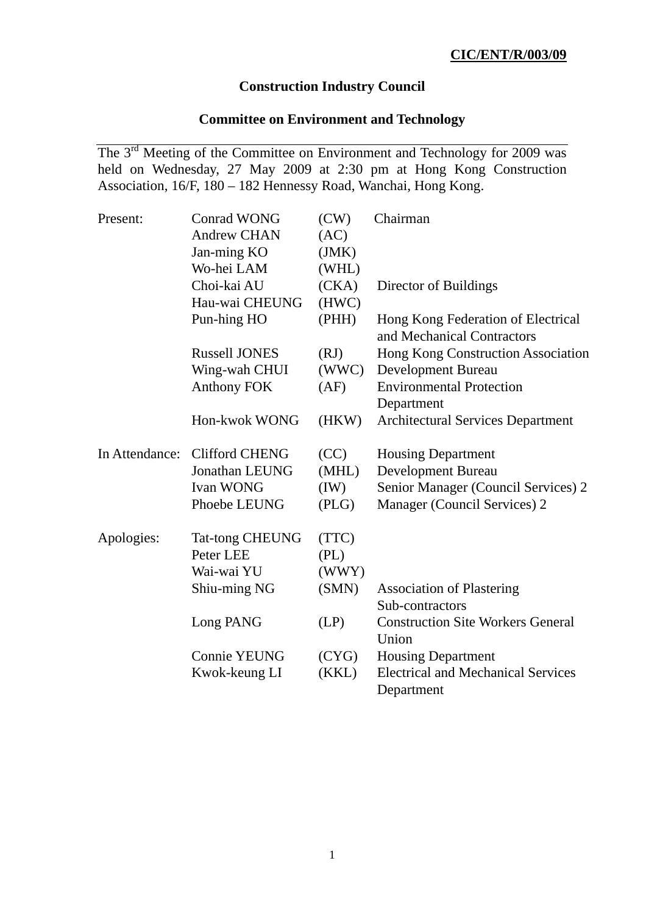# **Construction Industry Council**

# **Committee on Environment and Technology**

The 3<sup>rd</sup> Meeting of the Committee on Environment and Technology for 2009 was held on Wednesday, 27 May 2009 at 2:30 pm at Hong Kong Construction Association, 16/F, 180 – 182 Hennessy Road, Wanchai, Hong Kong.

| Present:       | <b>Conrad WONG</b>     | (CW)  | Chairman                                                         |
|----------------|------------------------|-------|------------------------------------------------------------------|
|                | <b>Andrew CHAN</b>     | (AC)  |                                                                  |
|                | Jan-ming KO            | (JMK) |                                                                  |
|                | Wo-hei LAM             | (WHL) |                                                                  |
|                | Choi-kai AU            | (CKA) | Director of Buildings                                            |
|                | Hau-wai CHEUNG         | (HWC) |                                                                  |
|                | Pun-hing HO            | (PHH) | Hong Kong Federation of Electrical<br>and Mechanical Contractors |
|                | <b>Russell JONES</b>   | (RJ)  | Hong Kong Construction Association                               |
|                | Wing-wah CHUI          | (WWC) | Development Bureau                                               |
|                | <b>Anthony FOK</b>     | (AF)  | <b>Environmental Protection</b>                                  |
|                |                        |       | Department                                                       |
|                | Hon-kwok WONG          | (HKW) | <b>Architectural Services Department</b>                         |
| In Attendance: | <b>Clifford CHENG</b>  | (CC)  | <b>Housing Department</b>                                        |
|                | <b>Jonathan LEUNG</b>  | (MHL) | Development Bureau                                               |
|                | <b>Ivan WONG</b>       | (IW)  | Senior Manager (Council Services) 2                              |
|                | Phoebe LEUNG           | (PLG) | Manager (Council Services) 2                                     |
| Apologies:     | <b>Tat-tong CHEUNG</b> | (TTC) |                                                                  |
|                | Peter LEE              | (PL)  |                                                                  |
|                | Wai-wai YU             | (WWY) |                                                                  |
|                | Shiu-ming NG           | (SMN) | <b>Association of Plastering</b>                                 |
|                |                        |       | Sub-contractors                                                  |
|                | Long PANG              | (LP)  | <b>Construction Site Workers General</b>                         |
|                |                        |       | Union                                                            |
|                | <b>Connie YEUNG</b>    | (CYG) | <b>Housing Department</b>                                        |
|                | Kwok-keung LI          | (KKL) | <b>Electrical and Mechanical Services</b>                        |
|                |                        |       | Department                                                       |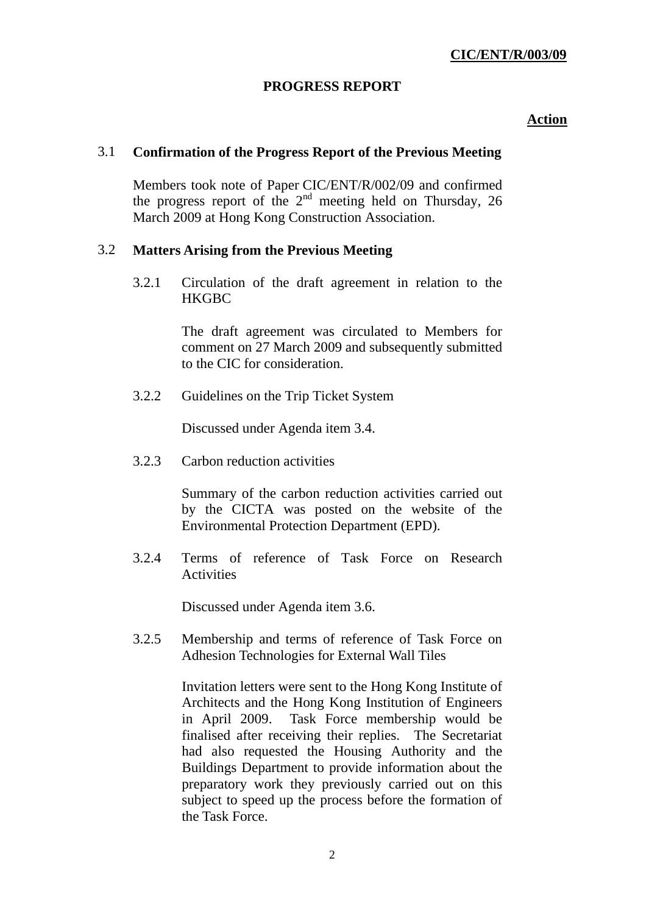# **PROGRESS REPORT**

## **Action**

## 3.1 **Confirmation of the Progress Report of the Previous Meeting**

 Members took note of Paper CIC/ENT/R/002/09 and confirmed the progress report of the  $2<sup>nd</sup>$  meeting held on Thursday, 26 March 2009 at Hong Kong Construction Association.

## 3.2 **Matters Arising from the Previous Meeting**

 3.2.1 Circulation of the draft agreement in relation to the **HKGBC** 

> The draft agreement was circulated to Members for comment on 27 March 2009 and subsequently submitted to the CIC for consideration.

3.2.2 Guidelines on the Trip Ticket System

Discussed under Agenda item 3.4.

3.2.3 Carbon reduction activities

Summary of the carbon reduction activities carried out by the CICTA was posted on the website of the Environmental Protection Department (EPD).

 3.2.4 Terms of reference of Task Force on Research Activities

Discussed under Agenda item 3.6.

 3.2.5 Membership and terms of reference of Task Force on Adhesion Technologies for External Wall Tiles

> Invitation letters were sent to the Hong Kong Institute of Architects and the Hong Kong Institution of Engineers in April 2009. Task Force membership would be finalised after receiving their replies. The Secretariat had also requested the Housing Authority and the Buildings Department to provide information about the preparatory work they previously carried out on this subject to speed up the process before the formation of the Task Force.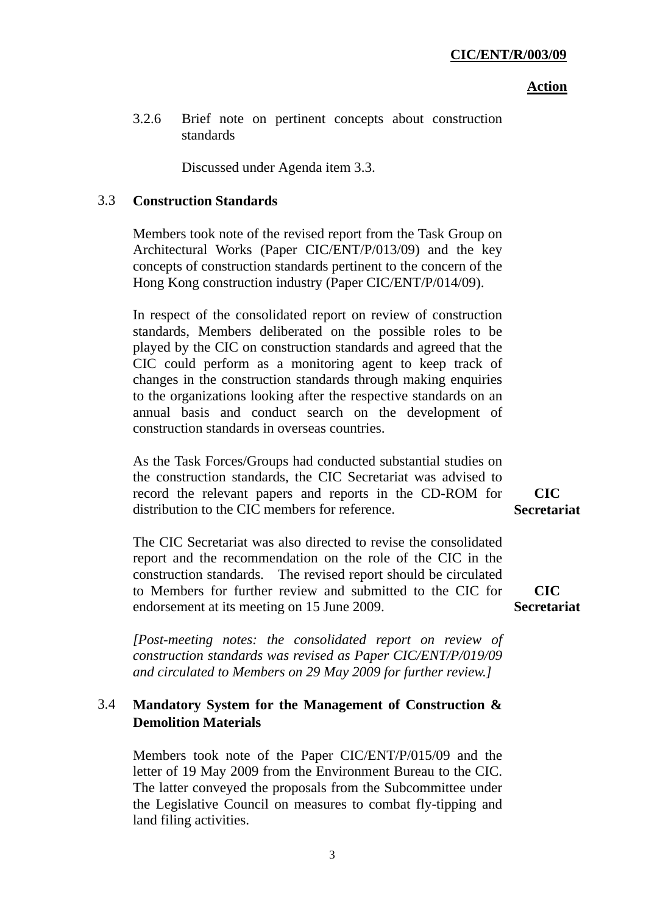#### **Action**

 3.2.6 Brief note on pertinent concepts about construction standards

Discussed under Agenda item 3.3.

## 3.3 **Construction Standards**

 Members took note of the revised report from the Task Group on Architectural Works (Paper CIC/ENT/P/013/09) and the key concepts of construction standards pertinent to the concern of the Hong Kong construction industry (Paper CIC/ENT/P/014/09).

In respect of the consolidated report on review of construction standards, Members deliberated on the possible roles to be played by the CIC on construction standards and agreed that the CIC could perform as a monitoring agent to keep track of changes in the construction standards through making enquiries to the organizations looking after the respective standards on an annual basis and conduct search on the development of construction standards in overseas countries.

As the Task Forces/Groups had conducted substantial studies on the construction standards, the CIC Secretariat was advised to record the relevant papers and reports in the CD-ROM for distribution to the CIC members for reference.

The CIC Secretariat was also directed to revise the consolidated report and the recommendation on the role of the CIC in the construction standards. The revised report should be circulated to Members for further review and submitted to the CIC for endorsement at its meeting on 15 June 2009.

**Secretariat**

**CIC Secretariat**

**CIC** 

*[Post-meeting notes: the consolidated report on review of construction standards was revised as Paper CIC/ENT/P/019/09 and circulated to Members on 29 May 2009 for further review.]* 

# 3.4 **Mandatory System for the Management of Construction & Demolition Materials**

 Members took note of the Paper CIC/ENT/P/015/09 and the letter of 19 May 2009 from the Environment Bureau to the CIC. The latter conveyed the proposals from the Subcommittee under the Legislative Council on measures to combat fly-tipping and land filing activities.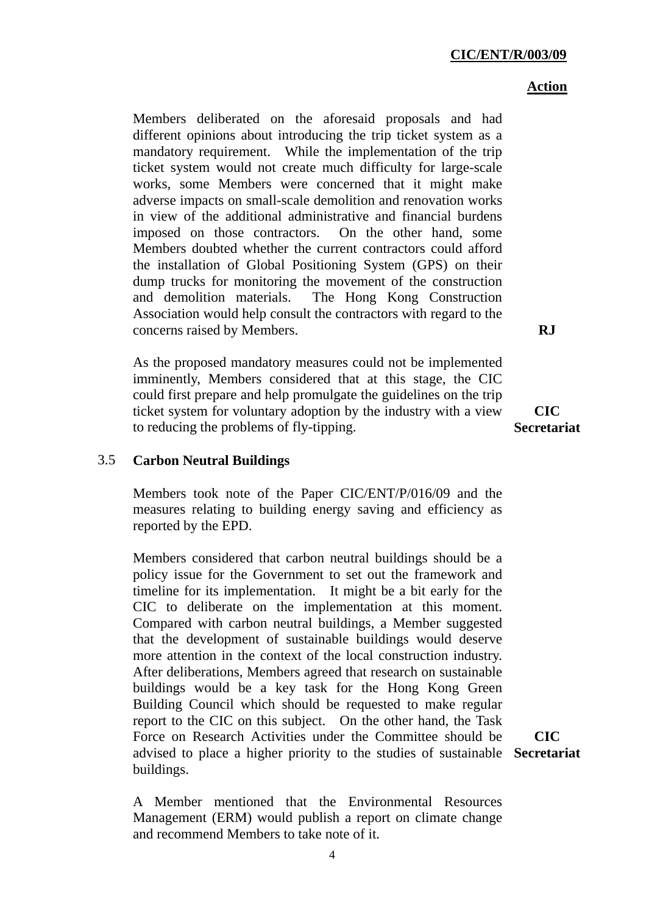#### **CIC/ENT/R/003/09**

#### **Action**

Members deliberated on the aforesaid proposals and had different opinions about introducing the trip ticket system as a mandatory requirement. While the implementation of the trip ticket system would not create much difficulty for large-scale works, some Members were concerned that it might make adverse impacts on small-scale demolition and renovation works in view of the additional administrative and financial burdens imposed on those contractors. On the other hand, some Members doubted whether the current contractors could afford the installation of Global Positioning System (GPS) on their dump trucks for monitoring the movement of the construction and demolition materials. The Hong Kong Construction Association would help consult the contractors with regard to the concerns raised by Members.

As the proposed mandatory measures could not be implemented imminently, Members considered that at this stage, the CIC could first prepare and help promulgate the guidelines on the trip ticket system for voluntary adoption by the industry with a view to reducing the problems of fly-tipping.

**CIC Secretariat**

**RJ** 

### 3.5 **Carbon Neutral Buildings**

 Members took note of the Paper CIC/ENT/P/016/09 and the measures relating to building energy saving and efficiency as reported by the EPD.

Members considered that carbon neutral buildings should be a policy issue for the Government to set out the framework and timeline for its implementation. It might be a bit early for the CIC to deliberate on the implementation at this moment. Compared with carbon neutral buildings, a Member suggested that the development of sustainable buildings would deserve more attention in the context of the local construction industry. After deliberations, Members agreed that research on sustainable buildings would be a key task for the Hong Kong Green Building Council which should be requested to make regular report to the CIC on this subject. On the other hand, the Task Force on Research Activities under the Committee should be advised to place a higher priority to the studies of sustainable **Secretariat**buildings.

**CIC** 

A Member mentioned that the Environmental Resources Management (ERM) would publish a report on climate change and recommend Members to take note of it.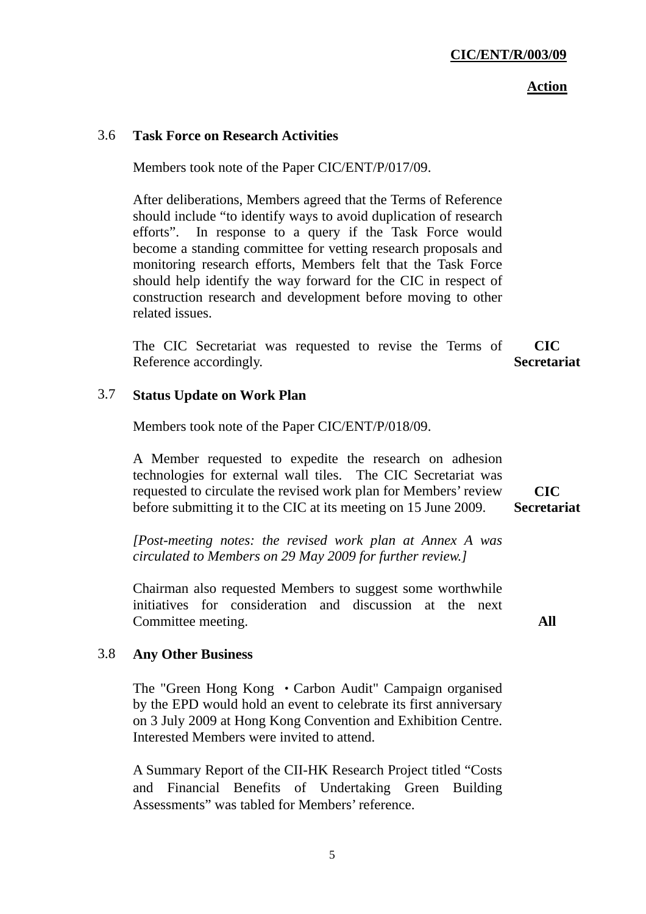**Action**

#### 3.6 **Task Force on Research Activities**

Members took note of the Paper CIC/ENT/P/017/09.

After deliberations, Members agreed that the Terms of Reference should include "to identify ways to avoid duplication of research efforts". In response to a query if the Task Force would become a standing committee for vetting research proposals and monitoring research efforts, Members felt that the Task Force should help identify the way forward for the CIC in respect of construction research and development before moving to other related issues.

The CIC Secretariat was requested to revise the Terms of Reference accordingly. **CIC Secretariat**

#### 3.7 **Status Update on Work Plan**

Members took note of the Paper CIC/ENT/P/018/09.

A Member requested to expedite the research on adhesion technologies for external wall tiles. The CIC Secretariat was requested to circulate the revised work plan for Members' review before submitting it to the CIC at its meeting on 15 June 2009. **CIC Secretariat**

*[Post-meeting notes: the revised work plan at Annex A was circulated to Members on 29 May 2009 for further review.]* 

Chairman also requested Members to suggest some worthwhile initiatives for consideration and discussion at the next Committee meeting.

**All** 

### 3.8 **Any Other Business**

The "Green Hong Kong • Carbon Audit" Campaign organised by the EPD would hold an event to celebrate its first anniversary on 3 July 2009 at Hong Kong Convention and Exhibition Centre. Interested Members were invited to attend.

A Summary Report of the CII-HK Research Project titled "Costs and Financial Benefits of Undertaking Green Building Assessments" was tabled for Members' reference.